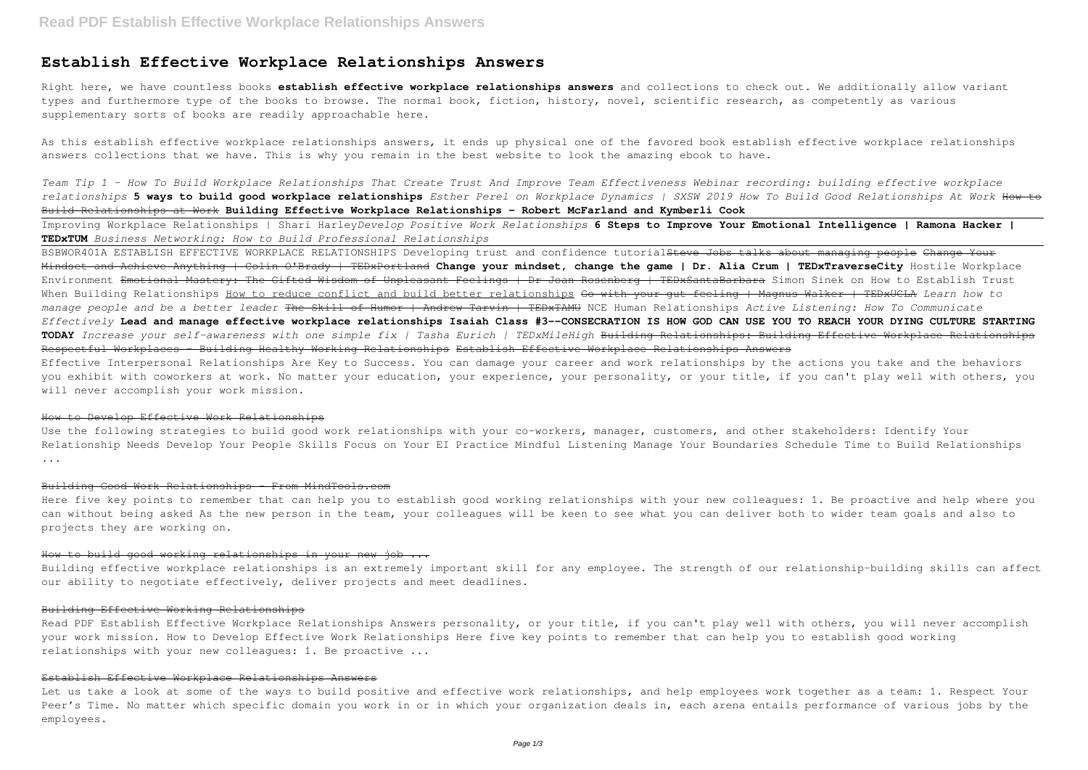# **Establish Effective Workplace Relationships Answers**

Right here, we have countless books **establish effective workplace relationships answers** and collections to check out. We additionally allow variant types and furthermore type of the books to browse. The normal book, fiction, history, novel, scientific research, as competently as various supplementary sorts of books are readily approachable here.

As this establish effective workplace relationships answers, it ends up physical one of the favored book establish effective workplace relationships answers collections that we have. This is why you remain in the best website to look the amazing ebook to have.

*Team Tip 1 - How To Build Workplace Relationships That Create Trust And Improve Team Effectiveness Webinar recording: building effective workplace relationships* **5 ways to build good workplace relationships** *Esther Perel on Workplace Dynamics | SXSW 2019 How To Build Good Relationships At Work* How to Build Relationships at Work **Building Effective Workplace Relationships - Robert McFarland and Kymberli Cook**

Improving Workplace Relationships | Shari Harley*Develop Positive Work Relationships* **6 Steps to Improve Your Emotional Intelligence | Ramona Hacker | TEDxTUM** *Business Networking: How to Build Professional Relationships*

BSBWOR401A ESTABLISH EFFECTIVE WORKPLACE RELATIONSHIPS Developing trust and confidence tutorial<del>Steve Jobs talks about managing people Change Your</del> Mindset and Achieve Anything | Colin O'Brady | TEDxPortland **Change your mindset, change the game | Dr. Alia Crum | TEDxTraverseCity** Hostile Workplace Environment Emotional Mastery: The Gifted Wisdom of Unpleasant Feelings | Dr Joan Rosenberg | TEDxSantaBarbara Simon Sinek on How to Establish Trust When Building Relationships How to reduce conflict and build better relationships Go with your gut feeling | Magnus Walker | TEDxUCLA *Learn how to manage people and be a better leader* The Skill of Humor | Andrew Tarvin | TEDxTAMU NCE Human Relationships *Active Listening: How To Communicate Effectively* **Lead and manage effective workplace relationships Isaiah Class #3--CONSECRATION IS HOW GOD CAN USE YOU TO REACH YOUR DYING CULTURE STARTING TODAY** *Increase your self-awareness with one simple fix | Tasha Eurich | TEDxMileHigh* Building Relationships: Building Effective Workplace Relationships Respectful Workplaces - Building Healthy Working Relationships Establish Effective Workplace Relationships Answers Effective Interpersonal Relationships Are Key to Success. You can damage your career and work relationships by the actions you take and the behaviors you exhibit with coworkers at work. No matter your education, your experience, your personality, or your title, if you can't play well with others, you will never accomplish your work mission.

Use the following strategies to build good work relationships with your co-workers, manager, customers, and other stakeholders: Identify Your Relationship Needs Develop Your People Skills Focus on Your EI Practice Mindful Listening Manage Your Boundaries Schedule Time to Build Relationships ...

Read PDF Establish Effective Workplace Relationships Answers personality, or your title, if you can't play well with others, you will never accomplish your work mission. How to Develop Effective Work Relationships Here five key points to remember that can help you to establish good working relationships with your new colleagues: 1. Be proactive ...

Let us take a look at some of the ways to build positive and effective work relationships, and help employees work together as a team: 1. Respect Your Peer's Time. No matter which specific domain you work in or in which your organization deals in, each arena entails performance of various jobs by the employees.

#### How to Develop Effective Work Relationships

#### Building Good Work Relationships - From MindTools.com

Here five key points to remember that can help you to establish good working relationships with your new colleagues: 1. Be proactive and help where you can without being asked As the new person in the team, your colleagues will be keen to see what you can deliver both to wider team goals and also to projects they are working on.

#### How to build good working relationships in your new job ...

Building effective workplace relationships is an extremely important skill for any employee. The strength of our relationship-building skills can affect our ability to negotiate effectively, deliver projects and meet deadlines.

#### Building Effective Working Relationships

### Establish Effective Workplace Relationships Answers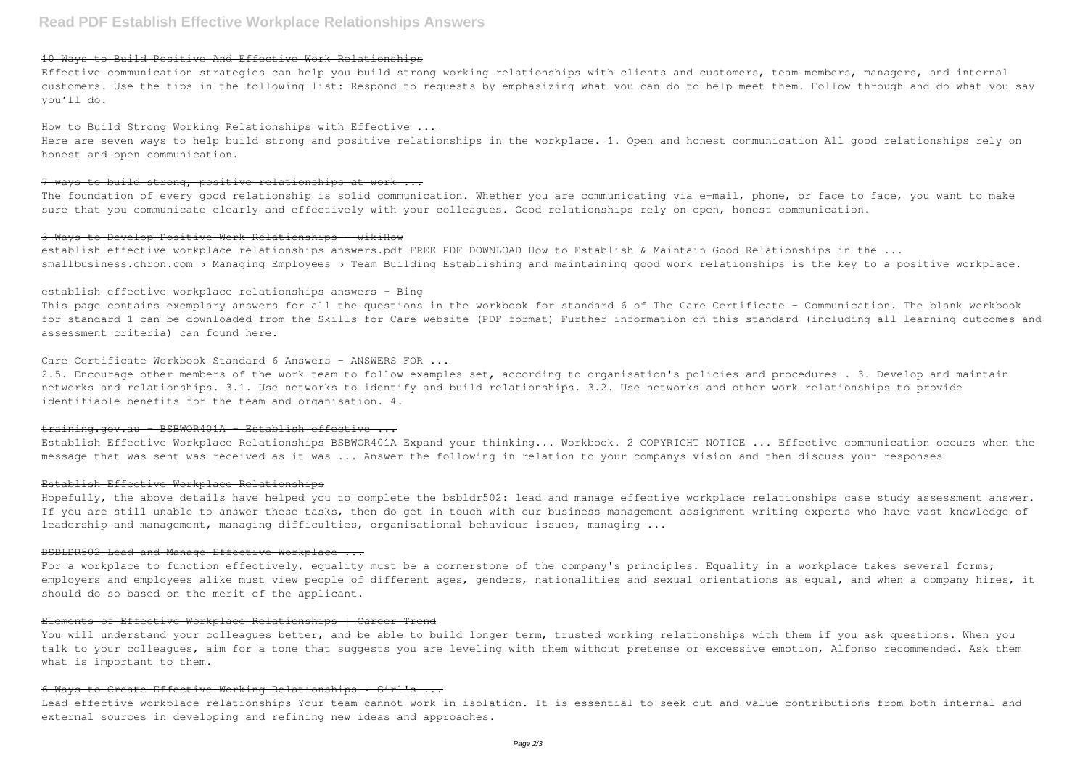# 10 Ways to Build Positive And Effective Work Relationships

Effective communication strategies can help you build strong working relationships with clients and customers, team members, managers, and internal customers. Use the tips in the following list: Respond to requests by emphasizing what you can do to help meet them. Follow through and do what you say you'll do.

#### How to Build Strong Working Relationships with Effective ...

Here are seven ways to help build strong and positive relationships in the workplace. 1. Open and honest communication All good relationships rely on honest and open communication.

#### 7 ways to build strong, positive relationships at work ...

The foundation of every good relationship is solid communication. Whether you are communicating via e-mail, phone, or face to face, you want to make sure that you communicate clearly and effectively with your colleagues. Good relationships rely on open, honest communication.

This page contains exemplary answers for all the questions in the workbook for standard 6 of The Care Certificate - Communication. The blank workbook for standard 1 can be downloaded from the Skills for Care website (PDF format) Further information on this standard (including all learning outcomes and assessment criteria) can found here.

#### 3 Ways to Develop Positive Work Relationships - wikiHow

establish effective workplace relationships answers.pdf FREE PDF DOWNLOAD How to Establish & Maintain Good Relationships in the ... smallbusiness.chron.com > Managing Employees > Team Building Establishing and maintaining good work relationships is the key to a positive workplace.

#### establish effective workplace relationships answers - Bing

For a workplace to function effectively, equality must be a cornerstone of the company's principles. Equality in a workplace takes several forms; employers and employees alike must view people of different ages, genders, nationalities and sexual orientations as equal, and when a company hires, it should do so based on the merit of the applicant.

#### Care Certificate Workbook Standard 6 Answers – ANSWERS FOR ...

You will understand your colleagues better, and be able to build longer term, trusted working relationships with them if you ask questions. When you talk to your colleagues, aim for a tone that suggests you are leveling with them without pretense or excessive emotion, Alfonso recommended. Ask them what is important to them.

2.5. Encourage other members of the work team to follow examples set, according to organisation's policies and procedures . 3. Develop and maintain networks and relationships. 3.1. Use networks to identify and build relationships. 3.2. Use networks and other work relationships to provide identifiable benefits for the team and organisation. 4.

#### training.gov.au - BSBWOR401A - Establish effective ...

Establish Effective Workplace Relationships BSBWOR401A Expand your thinking... Workbook. 2 COPYRIGHT NOTICE ... Effective communication occurs when the message that was sent was received as it was ... Answer the following in relation to your companys vision and then discuss your responses

#### Establish Effective Workplace Relationships

Hopefully, the above details have helped you to complete the bsbldr502: lead and manage effective workplace relationships case study assessment answer. If you are still unable to answer these tasks, then do get in touch with our business management assignment writing experts who have vast knowledge of leadership and management, managing difficulties, organisational behaviour issues, managing ...

#### BSBLDR502 Lead and Manage Effective Workplace ...

#### Elements of Effective Workplace Relationships | Career Trend

#### 6 Ways to Create Effective Working Relationships • Girl's ...

Lead effective workplace relationships Your team cannot work in isolation. It is essential to seek out and value contributions from both internal and external sources in developing and refining new ideas and approaches.